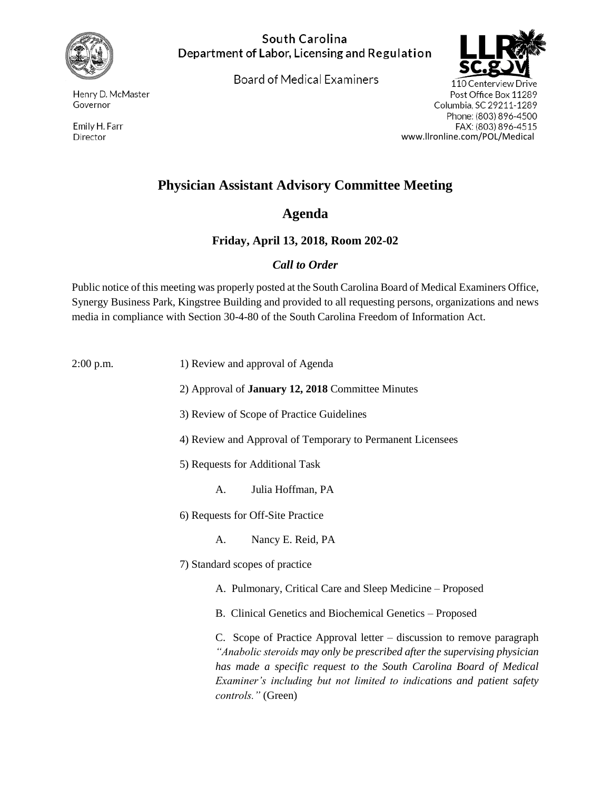

South Carolina Department of Labor, Licensing and Regulation

**Board of Medical Examiners** 



110 Centerview Drive Post Office Box 11289 Columbia, SC 29211-1289 Phone: (803) 896-4500 FAX: (803) 896-4515 www.llronline.com/POL/Medical

## **Physician Assistant Advisory Committee Meeting**

## **Agenda**

## **Friday, April 13, 2018, Room 202-02**

## *Call to Order*

Public notice of this meeting was properly posted at the South Carolina Board of Medical Examiners Office, Synergy Business Park, Kingstree Building and provided to all requesting persons, organizations and news media in compliance with Section 30-4-80 of the South Carolina Freedom of Information Act.

2:00 p.m. 1) Review and approval of Agenda

- 2) Approval of **January 12, 2018** Committee Minutes
- 3) Review of Scope of Practice Guidelines
- 4) Review and Approval of Temporary to Permanent Licensees
- 5) Requests for Additional Task
	- A. Julia Hoffman, PA
- 6) Requests for Off-Site Practice
	- A. Nancy E. Reid, PA
- 7) Standard scopes of practice
	- A. Pulmonary, Critical Care and Sleep Medicine Proposed
	- B. Clinical Genetics and Biochemical Genetics Proposed

C. Scope of Practice Approval letter – discussion to remove paragraph *"Anabolic steroids may only be prescribed after the supervising physician has made a specific request to the South Carolina Board of Medical Examiner's including but not limited to indications and patient safety controls."* (Green)

Henry D. McMaster Governor

Emily H. Farr Director